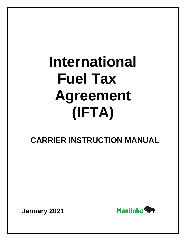# **International Fuel Tax Agreement (IFTA)**

 **CARRIER INSTRUCTION MANUAL**

**January 2021**

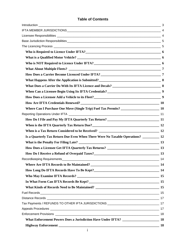# **Table of Contents**

| How Does a Carrier Become Licenced Under IFTA?<br>27 November 2014                      |           |
|-----------------------------------------------------------------------------------------|-----------|
| What Happens After the Application is Submitted?<br>8                                   |           |
|                                                                                         |           |
|                                                                                         |           |
| How Does a Licensee Add a Vehicle to its Fleet?<br>9                                    |           |
| How Are IFTA Credentials Renewed?<br>10                                                 |           |
|                                                                                         |           |
|                                                                                         |           |
|                                                                                         |           |
| When is the IFTA Quarterly Tax Return Due?<br>12                                        |           |
|                                                                                         |           |
| Is a Quarterly Tax Return Due Even When There Were No Taxable Operations? __________ 12 |           |
|                                                                                         |           |
|                                                                                         |           |
| How Do I Receive a Refund of Overpaid Taxes?<br>13                                      |           |
| Recordkeeping Requirements_                                                             | 14        |
|                                                                                         |           |
|                                                                                         |           |
|                                                                                         |           |
| In What Form Can IFTA Records Be Kept?<br>15                                            |           |
|                                                                                         |           |
|                                                                                         |           |
|                                                                                         |           |
|                                                                                         |           |
|                                                                                         |           |
|                                                                                         |           |
|                                                                                         |           |
|                                                                                         | <b>18</b> |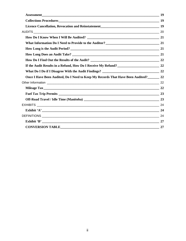| Licence Cancellation, Revocation and Reinstatement<br>19                             |    |
|--------------------------------------------------------------------------------------|----|
|                                                                                      |    |
|                                                                                      |    |
|                                                                                      |    |
|                                                                                      |    |
|                                                                                      |    |
|                                                                                      |    |
|                                                                                      |    |
|                                                                                      |    |
| Once I Have Been Audited, Do I Need to Keep My Records That Have Been Audited?<br>22 |    |
|                                                                                      |    |
|                                                                                      |    |
|                                                                                      |    |
|                                                                                      |    |
|                                                                                      |    |
|                                                                                      |    |
|                                                                                      |    |
|                                                                                      | 27 |
|                                                                                      |    |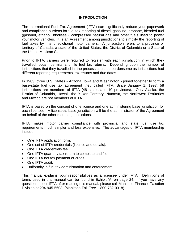## **INTRODUCTION**

<span id="page-3-0"></span>The International Fuel Tax Agreement (IFTA) can significantly reduce your paperwork and compliance burdens for fuel tax reporting of diesel, gasoline, propane, blended fuel (gasohol, ethanol, biodiesel), compressed natural gas and other fuels used to power your motor vehicles. It is an Agreement among jurisdictions to simplify the reporting of fuel taxes by interjurisdictional motor carriers. A jurisdiction refers to a province or territory of Canada, a state of the United States, the District of Columbia or a State of the United Mexican States.

Prior to IFTA, carriers were required to register with each jurisdiction in which they travelled, obtain permits and file fuel tax returns. Depending upon the number of jurisdictions that they travelled in, the process could be burdensome as jurisdictions had different reporting requirements, tax returns and due dates.

In 1983, three U.S. States - Arizona, Iowa and Washington - joined together to form a base-state fuel use tax agreement they called IFTA. Since January 1, 1997, 58 jurisdictions are members of IFTA (48 states and 10 provinces). Only Alaska, the District of Columbia, Hawaii, the Yukon Territory, Nunavut, the Northwest Territories and Mexico are not members of IFTA.

IFTA is based on the concept of one licence and one administering base jurisdiction for each licensee. A licensee's base jurisdiction will be the administrator of the Agreement on behalf of the other member jurisdictions.

IFTA makes motor carrier compliance with provincial and state fuel use tax requirements much simpler and less expensive. The advantages of IFTA membership include:

- One IFTA application form.
- One set of IFTA credentials (licence and decals).
- One IFTA credentials fee.
- One IFTA quarterly tax return to complete and file.
- One IFTA net tax payment or credit.
- One IFTA audit.
- Uniformity in fuel tax administration and enforcement

This manual explains your responsibilities as a licensee under IFTA. Definitions of terms used in this manual can be found in Exhibit 'A' on page 24. If you have any questions about IFTA after reading this manual, please call Manitoba Finance -Taxation Division at 204-945-5603 (Manitoba Toll Free 1-800-782-0318).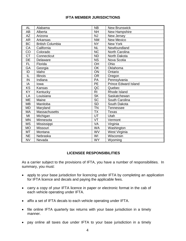# **IFTA MEMBER JURISDICTIONS**

<span id="page-4-0"></span>

| AL             | Alabama                 | <b>NB</b>              | <b>New Brunswick</b>        |
|----------------|-------------------------|------------------------|-----------------------------|
| AB             | Alberta                 | <b>NH</b>              | New Hampshire               |
| <b>AZ</b>      | Arizona                 | <b>NJ</b>              | New Jersey                  |
| <b>AR</b>      | Arkansas                | <b>NM</b>              | <b>New Mexico</b>           |
| BC             | <b>British Columbia</b> | <b>NY</b>              | New York                    |
| CA             | California              | <b>NL</b>              | Newfoundland                |
| CO             | Colorado                | $\overline{\text{NC}}$ | North Carolina              |
| <b>CT</b>      | Connecticut             | <b>ND</b>              | North Dakota                |
| DE             | Delaware                | $\overline{\text{NS}}$ | Nova Scotia                 |
| <b>FL</b>      | Florida                 | OH                     | Ohio                        |
| GA             | Georgia                 | OK                     | Oklahoma                    |
| ID             | Idaho                   | ON                     | Ontario                     |
| IL             | <b>Illinois</b>         | <b>OR</b>              | Oregon                      |
| $\overline{N}$ | Indiana                 | $\overline{PA}$        | Pennsylvania                |
| IA             | lowa                    | <b>PE</b>              | <b>Prince Edward Island</b> |
| KS             | Kansas                  | $\overline{AC}$        | Quebec                      |
| KY             | Kentucky                | R <sub>l</sub>         | Rhode Island                |
| LA             | Louisiana               | <b>SK</b>              | Saskatchewan                |
| ME             | Maine                   | $\overline{SC}$        | South Carolina              |
| <b>MB</b>      | Manitoba                | <b>SD</b>              | South Dakota                |
| <b>MD</b>      | Maryland                | <b>TN</b>              | Tennessee                   |
| MA             | <b>Massachusetts</b>    | <b>TX</b>              | <b>Texas</b>                |
| MI             | Michigan                | UT                     | Utah                        |
| <b>MN</b>      | Minnesota               | VT                     | Vermont                     |
| <b>MS</b>      | Mississippi             | VA                     | Virginia                    |
| <b>MO</b>      | <b>Missouri</b>         | <b>WA</b>              | Washington                  |
| <b>MT</b>      | Montana                 | WV                     | West Virginia               |
| <b>NE</b>      | Nebraska                | WI                     | Wisconsin                   |
| <b>NV</b>      | Nevada                  | <b>WY</b>              | Wyoming                     |

# <span id="page-4-1"></span>**LICENSEE RESPONSIBILITIES**

As a carrier subject to the provisions of IFTA, you have a number of responsibilities. In summary, you must:

- apply to your base jurisdiction for licencing under IFTA by completing an application for IFTA licence and decals and paying the applicable fees.
- carry a copy of your IFTA licence in paper or electronic format in the cab of each vehicle operating under IFTA.
- affix a set of IFTA decals to each vehicle operating under IFTA.
- file online IFTA quarterly tax returns with your base jurisdiction in a timely manner.
- pay online all taxes due under IFTA to your base jurisdiction in a timely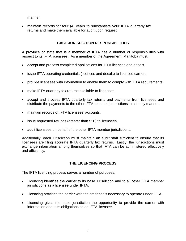manner.

• maintain records for four (4) years to substantiate your IFTA quarterly tax returns and make them available for audit upon request.

# **BASE JURISDICTION RESPONSIBILITIES**

<span id="page-5-0"></span>A province or state that is a member of IFTA has a number of responsibilities with respect to its IFTA licensees. As a member of the Agreement, Manitoba must:

- accept and process completed applications for IFTA licences and decals.
- issue IFTA operating credentials (licences and decals) to licenced carriers.
- provide licensees with information to enable them to comply with IFTA requirements.
- make IFTA quarterly tax returns available to licensees.
- accept and process IFTA quarterly tax returns and payments from licensees and distribute the payments to the other IFTA member jurisdictions in a timely manner.
- maintain records of IFTA licensees' accounts.
- issue requested refunds (greater than \$10) to licensees.
- audit licensees on behalf of the other IFTA member jurisdictions.

Additionally, each jurisdiction must maintain an audit staff sufficient to ensure that its licensees are filing accurate IFTA quarterly tax returns. Lastly, the jurisdictions must exchange information among themselves so that IFTA can be administered effectively and efficiently.

# **THE LICENCING PROCESS**

<span id="page-5-1"></span>The IFTA licencing process serves a number of purposes:

- Licencing identifies the carrier to its base jurisdiction and to all other IFTA member jurisdictions as a licensee under IFTA.
- Licencing provides the carrier with the credentials necessary to operate under IFTA.
- Licencing gives the base jurisdiction the opportunity to provide the carrier with information about its obligations as an IFTA licensee.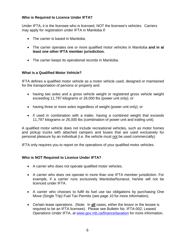# <span id="page-6-0"></span>**Who is Required to Licence Under IFTA?**

Under IFTA, it is the licensee who is licensed, NOT the licensee's vehicles. Carriers may apply for registration under IFTA in Manitoba if:

- The carrier is based in Manitoba.
- The carrier operates one or more qualified motor vehicles in Manitoba **and in at least one other IFTA member jurisdiction.**
- The carrier keeps its operational records in Manitoba.

# <span id="page-6-1"></span>**What is a Qualified Motor Vehicle?**

IFTA defines a qualified motor vehicle as a motor vehicle used, designed or maintained for the transportation of persons or property and:

- having two axles and a gross vehicle weight or registered gross vehicle weight exceeding 11,797 kilograms or 26,000 lbs (power unit only); or
- having three or more axles regardless of weight (power unit only); or
- if used in combination with a trailer, having a combined weight that exceeds 11,797 kilograms or 26,000 lbs (combination of power unit and trailing unit).

A qualified motor vehicle does not include recreational vehicles, such as motor homes and pickup trucks with attached campers and buses that are used exclusively for personal pleasure by an individual (i.e. the vehicle must not be used commercially).

IFTA only requires you to report on the operations of your qualified motor vehicles.

# <span id="page-6-2"></span>**Who is NOT Required to Licence Under IFTA?**

- A carrier who does not operate qualified motor vehicles.
- A carrier who does not operate in more than one IFTA member jurisdiction. For example, if a carrier runs exclusively Manitoba/Nunavut, he/she will not be licenced under IFTA.
- A carrier who chooses to fulfil its fuel use tax obligations by purchasing One Move (Single Trip) Fuel Tax Permits (see page 10 for more information).
- Certain lease operations. (Note: In **all** cases, either the lessor or the lessee is required to be an IFTA licensee). Please see Bulletin No. IFTA-002, Leased Operations Under IFTA, at [www.gov.mb.ca/finance/taxation](http://www.gov.mb.ca/finance/taxation) for more information.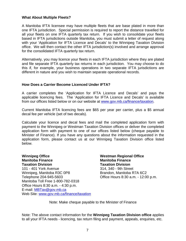## <span id="page-7-0"></span>**What About Multiple Fleets?**

A Manitoba IFTA licensee may have multiple fleets that are base plated in more than one IFTA jurisdiction. Special permission is required to report the distance travelled for all your fleets on one IFTA quarterly tax return. If you wish to consolidate your fleets based in IFTA jurisdictions outside Manitoba, you must submit a letter of request along with your 'Application for IFTA Licence and Decals' to the Winnipeg Taxation Division office. We will then contact the other IFTA jurisdiction(s) involved and arrange approval for the consolidated IFTA quarterly tax return.

Alternatively, you may licence your fleets in each IFTA jurisdiction where they are plated and file separate IFTA quarterly tax returns in each jurisdiction. You may choose to do this if, for example, your business operations in two separate IFTA jurisdictions are different in nature and you wish to maintain separate operational records.

#### <span id="page-7-1"></span>**How Does a Carrier Become Licenced Under IFTA?**

A carrier completes the 'Application for IFTA Licence and Decals' and pays the applicable licencing fees. The 'Application for IFTA Licence and Decals' is available from our offices listed below or on our website at [www.gov.mb.ca/finance/taxation.](http://www.gov.mb.ca/finance/taxation)

Current Manitoba IFTA licencing fees are \$65 per year per carrier, plus a \$5 annual decal fee per vehicle (set of two decals).

Calculate your licence and decal fees and mail the completed application form with payment to the Winnipeg or Westman Taxation Division offices or deliver the completed application form with payment to one of our offices listed below (cheque payable to Minister of Finance). If you have any questions about the information requested in the application form, please contact us at our Winnipeg Taxation Division office listed below.

**Winnipeg Office Manitoba Finance Taxation Division** 101 - 401 York Avenue Winnipeg, Manitoba R3C 0P8 Telephone 204-945-5603 Manitoba Toll Free 1-800-782-0318 Office Hours 8:30 a.m. - 4:30 p.m. E-mail: [MBTax@gov.mb.ca](mailto:MBTax@gov.mb.ca) Web Site: [www.gov.mb.ca/finance/taxation](http://www.gov.mb.ca/finance/taxation) **Westman Regional Office Manitoba Finance Taxation Division** 314, 340 - 9th Street Brandon, Manitoba R7A 6C2 Office Hours 8:30 a.m. - 12:00 p.m.

Note: Make cheque payable to the Minister of Finance

Note: The above contact information for the **Winnipeg Taxation Division office** applies to all your IFTA needs - licencing, tax return filing and payment, appeals, enquiries, etc.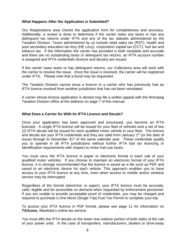## <span id="page-8-0"></span>**What Happens After the Application is Submitted?**

Our Registrations area checks the application form for completeness and accuracy. Additionally, a review is done to determine if the carrier owes any taxes or has any delinquent tax returns under IFTA and any of the tax statutes administered by the Taxation Division. Taxes administered by us include retail sales tax (RST), health and post secondary education tax levy (HE Levy), corporation capital tax (CCT), fuel tax and tobacco tax. If the information the carrier has provided is both complete and accurate and there are no outstanding taxes or delinquent tax returns, an IFTA account number is assigned and IFTA credentials (licence and decals) are issued.

If the carrier owes taxes or has delinquent returns, our Collections area will work with the carrier to resolve the issue. Once the issue is resolved, the carrier will be registered under IFTA. Please note that a bond may be requested.

The Taxation Division cannot issue a licence to a carrier who has previously had an IFTA licence revoked from another jurisdiction that has not been reinstated.

A carrier whose licence application is denied may file a written appeal with the Winnipeg Taxation Division office at the address on page 7 of this manual.

## <span id="page-8-1"></span>**What Does a Carrier Do With Its IFTA Licence and Decals?**

Once your application has been approved and processed, you become an IFTA licensee. A single IFTA licence will be issued for your fleet of vehicles and a set of two (2) IFTA decals will be issued for each qualified motor vehicle in your fleet. The licence and decals are your IFTA credentials and they are valid from January 1<sup>st</sup> (or the date of issue) through to December  $31<sup>st</sup>$  of the same calendar year. These credentials qualify you to operate in all IFTA jurisdictions without further IFTA fuel tax licencing or identification requirements with respect to motor fuel use taxes.

You must carry the IFTA licence in paper or electronic format in each cab of your qualified motor vehicles. If you choose to maintain an electronic format of your IFTA licence, it is strongly recommended that the licence is saved as a file such as PDF and saved to an electronic device for each vehicle. This approach enables you to have access to your IFTA licence at any time, even when access to mobile and/or wireless service may be interrupted.

Regardless of the format (electronic or paper), your IFTA licence must be accurate, valid, legible and be accessible on demand when requested by enforcement personnel. If you are unable to provide acceptable proof of credentials, you may be charged and required to purchase a One Move (Single Trip) Fuel Tax Permit to complete your trip.

To access your IFTA licence in PDF format, please see page 11 for information on **TAXcess**, Manitoba's online tax service.

You must affix the IFTA decals on the lower rear exterior portion of both sides of the cab of your power units. In the case of transporters, manufacturers, dealers or drive-away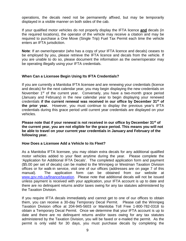operations, the decals need not be permanently affixed, but may be temporarily displayed in a visible manner on both sides of the cab.

If your qualified motor vehicles do not properly display the IFTA licence **and** decals (in the required locations), the operator of the vehicle may receive a citation and may be required to purchase a One Move (Single Trip) Fuel Tax Permit each time the vehicle enters an IFTA jurisdiction.

**Note**: If an owner/operator (who has a copy of your IFTA licence and decals) ceases to be employed by you, please retrieve the IFTA licence and decals from the vehicle. If you are unable to do so, please document the information as the owner/operator may be operating illegally using your IFTA credentials.

# <span id="page-9-0"></span>**When Can a Licensee Begin Using Its IFTA Credentials?**

If you are currently a Manitoba IFTA licensee and are renewing your credentials (licence and decals) for the next calendar year, you may begin displaying the new credentials on November 1<sup>st</sup> of the current year. Conversely, you have a two-month grace period (January and February) in the new calendar year to begin displaying your renewed credentials **if the current renewal was received in our office by December 31st of the prior year.** However, you must continue to display the previous year's IFTA credentials during this grace period until current year credentials are displayed on your vehicles.

**Please note that if your renewal is not received in our office by December 31st of the current year, you are not eligible for the grace period. This means you will not be able to travel on your current year credentials in January and February of the following year.**

## <span id="page-9-1"></span>**How Does a Licensee Add a Vehicle to its Fleet?**

As a Manitoba IFTA licensee, you may obtain extra decals for any additional qualified motor vehicles added to your fleet anytime during the year. Please complete the 'Application for Additional IFTA Decals'. The completed application form and payment (\$5.00 per set of decals) can be mailed to the Winnipeg or Westman Taxation Division offices or for walk-in service, visit one of our offices (addresses are on page 7 of this manual). The application form can be obtained from our website at [www.gov.mb.ca/finance/taxation.](http://www.gov.mb.ca/finance/taxation) Please note that additional decals will not be issued unless payment is received with your application, your IFTA account is up to date and there are no delinquent returns and/or taxes owing for any tax statutes administered by the Taxation Division.

If you require IFTA decals immediately and cannot get to one of our offices to obtain them, you can receive a 30-day Temporary Decal Permit. Please call the Winnipeg Taxation Division office at 204-945-5603 or Manitoba Toll Free 1-800-782-0318 to obtain a Temporary Decal Permit. Once we determine that your IFTA account is up to date and there are no delinquent returns and/or taxes owing for any tax statutes administered by the Taxation Division, you will be faxed or e-mailed the permit. As the permit is only valid for 30 days, you must purchase decals by completing the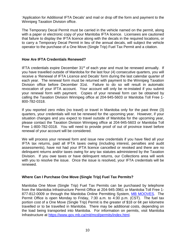'Application for Additional IFTA Decals' and mail or drop off the form and payment to the Winnipeg Taxation Division office.

The Temporary Decal Permit must be carried in the vehicle named on the permit, along with a paper or electronic copy of your Manitoba IFTA licence. Licensees are cautioned that failure to display the IFTA licence along with the decals in the required locations, or to carry a Temporary Decal Permit in lieu of the annual decals, will subject the vehicle operator to the purchase of a One Move (Single Trip) Fuel Tax Permit and a citation.

## <span id="page-10-0"></span>**How Are IFTA Credentials Renewed?**

IFTA credentials expire December  $31<sup>st</sup>$  of each year and must be renewed annually. If you have travelled outside of Manitoba for the last four (4) consecutive quarters, you will receive a 'Renewal of IFTA Licence and Decals' form during the last calendar quarter of each year. The renewal form must be returned with payment to the Winnipeg Taxation Division office before December 31st. Failure to do so will result in automatic revocation of your IFTA account. Your account will only be re-instated if you submit your renewal form with payment. Copies of your renewal form can be obtained by calling the Taxation Division Winnipeg office at 204-945-5603 or Manitoba Toll Free 1- 800-782-0318.

If you reported zero miles (no travel) or travel in Manitoba only for the past three (3) quarters, your credentials will not be renewed for the upcoming year. However, if your situation changes and you expect to travel outside of Manitoba for the upcoming year, please contact the Taxation Division Winnipeg office at 204-945-5603 or Manitoba Toll Free 1-800-782-0318. You will need to provide proof of out of province travel before renewal of your account will be considered.

We will process your renewal form and issue new credentials if you have filed all your IFTA tax returns, paid all IFTA taxes owing (including interest, penalties and audit assessments), have not had your IFTA licence cancelled or revoked and there are no delinquent returns and/or taxes owing for any tax statutes administered by the Taxation Division. If you owe taxes or have delinquent returns, our Collections area will work with you to resolve the issue. Once the issue is resolved, your IFTA credentials will be renewed.

# <span id="page-10-1"></span>**Where Can I Purchase One Move (Single Trip) Fuel Tax Permits?**

Manitoba One Move (Single Trip) Fuel Tax Permits can be purchased by telephone from the Manitoba Infrastructure Permit Office at 204-945-3961 or Manitoba Toll Free 1- 877-812-0009 or through the Manitoba Online Permitting System, [MB MOOVES.](https://www.gov.mb.ca/mit/mcd/permits/application.html) The Permit Office is open Monday to Friday, 7:30 a.m. to 4:30 p.m. (CST). The fuel tax portion cost of a One Move (Single Trip) Permit is the greater of \$18 or 6¢ per kilometre travelled or to be travelled in Manitoba. There may be additional costs, depending on the load being transported into Manitoba. For information on permits, visit Manitoba Infrastructure at [https://www.gov.mb.ca/mit/mcd/permits/index.html.](https://www.gov.mb.ca/mit/mcd/permits/index.html)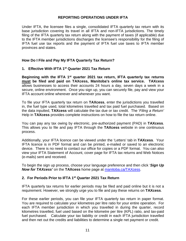## **REPORTING OPERATIONS UNDER IFTA**

<span id="page-11-0"></span>Under IFTA, the licensee files a single, consolidated IFTA quarterly tax return with its base jurisdiction covering its travel in all IFTA and non-IFTA jurisdictions. The timely filing of the IFTA quarterly tax return along with the payment of taxes (if applicable) due to the IFTA member jurisdictions discharges the licensee's responsibility for the filing of IFTA fuel use tax reports and the payment of IFTA fuel use taxes to IFTA member provinces and states.

## <span id="page-11-1"></span>**How Do I File and Pay My IFTA Quarterly Tax Return?**

# **1. Effective With IFTA 1st Quarter 2021 Tax Return**

**Beginning with the IFTA 1st quarter 2021 tax return, IFTA quarterly tax returns must be filed and paid on TAXcess, Manitoba's online tax service. TAXcess** allows businesses to access their accounts 24 hours a day, seven days a week in a secure, online environment. Once you sign up, you can securely file, pay and view your IFTA account online wherever and whenever you want.

To file your IFTA quarterly tax return on **TAXcess**, enter the jurisdictions you travelled in, the fuel type used, total kilometres travelled and tax paid fuel purchased. Based on the data inputted, **TAXcess** will calculate the tax due or tax credit. The '*Filing a Return'* Help in **TAXcess** provides complete instructions on how to file the tax return online.

You can pay any tax owing by electronic, pre-authorized payment (PAD) in **TAXcess**. This allows you to file and pay IFTA through the **TAXcess** website in one continuous process.

Additionally, your IFTA licence can be viewed under the 'Letters' tab in **TAXcess**. Your IFTA licence is in PDF format and can be printed, e-mailed or saved to an electronic device. There is no need to contact our office for copies or a PDF format. You can also view your IFTA Statement of Account, cover page for IFTA tax returns and Web Notices (e-mails) sent and received.

To begin the sign up process, choose your language preference and then click '*Sign Up Now for TAXcess'* on the **TAXcess** home page at [manitoba.ca/TAXcess.](https://taxcess.gov.mb.ca/)

## **2. For Periods Prior to IFTA 1st Quarter 2021 Tax Return**

IFTA quarterly tax returns for earlier periods may be filed and paid online but it is not a requirement. However, we strongly urge you to file and pay these returns on **TAXcess**.

For these earlier periods, you can file your IFTA quarterly tax return in paper format. You are required to calculate your kilometres per litre ratio for your entire operation. For each IFTA member jurisdiction in which you travelled in during the quarter, record kilometres travelled, fuel used based on the kilometre per litre (KPL) ratio, and tax-paid fuel purchased. Calculate your tax liability or credit in each IFTA jurisdiction travelled and then net out the credits and liabilities to determine a single net payment or credit.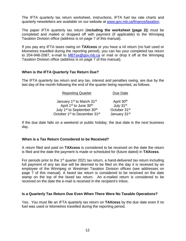The IFTA quarterly tax return worksheet, instructions, IFTA fuel tax rate charts and quarterly newsletters are available on our website at [www.gov.mb.ca/finance/taxation.](http://www.gov.mb.ca/finance/taxation)

The paper IFTA quarterly tax return (**including the worksheet (page 2)**) must be completed and mailed or dropped off with payment (if applicable) to the Winnipeg Taxation Division office (address is on page 7 of this manual).

If you pay any IFTA taxes owing on **TAXcess** or you have a nil return (no fuel used or kilometres travelled during the reporting period), you can fax your completed tax return to 204-948-2087, e-mail to [MBTax@gov.mb.ca](mailto:MBTax@gov.mb.ca) or mail or drop it off at the Winnipeg Taxation Division office (address is on page 7 of this manual).

## <span id="page-12-0"></span>**When is the IFTA Quarterly Tax Return Due?**

The IFTA quarterly tax return and any tax, interest and penalties owing, are due by the last day of the month following the end of the quarter being reported, as follows:

| <b>Reporting Quarter</b>                             | Due Date                 |
|------------------------------------------------------|--------------------------|
| January 1 <sup>st</sup> to March 31 <sup>st</sup>    | April 30th               |
| April 1 <sup>st</sup> to June 30 <sup>th</sup>       | July 31st                |
| July 1 <sup>st</sup> to September 30 <sup>th</sup>   | October 31 <sup>st</sup> |
| October 1 <sup>st</sup> to December 31 <sup>st</sup> | January 31st             |

If the due date falls on a weekend or public holiday, the due date is the next business day.

## <span id="page-12-1"></span>**When is a Tax Return Considered to be Received?**

A return filed and paid on **TAXcess** is considered to be received on the date the return is filed and the date the payment is made or scheduled for (future dated) in **TAXcess**.

For periods prior to the 1<sup>st</sup> quarter 2021 tax return, a hand-delivered tax return including full payment of any tax due will be deemed to be filed on the day it is received by an employee of the Winnipeg or Westman Taxation Division offices (see addresses on page 7 of this manual). A faxed tax return is considered to be received on the date stamp on the top of the faxed tax return. An e-mailed return is considered to be received on the date the e-mail is received in the recipient's Inbox.

## <span id="page-12-2"></span>**Is a Quarterly Tax Return Due Even When There Were No Taxable Operations?**

Yes. You must file an IFTA quarterly tax return on **TAXcess** by the due date even if no fuel was used or kilometres travelled during the reporting period.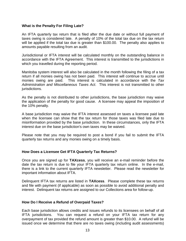## <span id="page-13-0"></span>**What is the Penalty For Filing Late?**

An IFTA quarterly tax return that is filed after the due date or without full payment of taxes owing is considered late. A penalty of 10% of the total tax due on the tax return will be applied if the total tax due is greater than \$100.00. The penalty also applies to amounts payable resulting from an audit.

Jurisdictional or IFTA interest will be calculated monthly on the outstanding balance in accordance with the IFTA Agreement. This interest is transmitted to the jurisdictions in which you travelled during the reporting period.

Manitoba system interest will also be calculated in the month following the filing of a tax return if all monies owing has not been paid. This interest will continue to accrue until monies owing are paid. This interest is calculated in accordance with the *Tax Administration and Miscellaneous Taxes Act*. This interest is not transmitted to other jurisdictions.

As the penalty is not distributed to other jurisdictions, the base jurisdiction may waive the application of the penalty for good cause. A licensee may appeal the imposition of the 10% penalty.

A base jurisdiction may waive the IFTA interest assessed on taxes a licensee paid late when the licensee can show that the tax return for those taxes was filed late due to misinformation provided by the base jurisdiction. In these circumstances, only the IFTA interest due on the base jurisdiction's own taxes may be waived.

Please note that you may be required to post a bond if you fail to submit the IFTA quarterly tax returns and any monies owing on a timely basis.

## <span id="page-13-1"></span>**How Does a Licensee Get IFTA Quarterly Tax Returns?**

Once you are signed up for **TAXcess**, you will receive an e-mail reminder before the date the tax return is due to file your IFTA quarterly tax return online. In the e-mail, there is a link to the current quarterly IFTA newsletter. Please read the newsletter for important information about IFTA.

Delinquent IFTA tax returns are listed in **TAXcess**. Please complete these tax returns and file with payment (if applicable) as soon as possible to avoid additional penalty and interest. Delinquent tax returns are assigned to our Collections area for follow-up.

## <span id="page-13-2"></span>**How Do I Receive a Refund of Overpaid Taxes?**

Each base jurisdiction allows credits and issues refunds to its licensees on behalf of all IFTA jurisdictions. You can request a refund on your IFTA tax return for any overpayment of tax provided the refund amount is greater than \$10.00. A refund will be issued once we determine that there are no taxes owing (including audit assessments)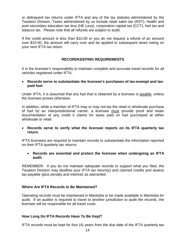or delinquent tax returns under IFTA and any of the tax statutes administered by the Taxation Division. Taxes administered by us include retail sales tax (RST), health and post secondary education tax levy (HE Levy), corporation capital tax (CCT), fuel tax and tobacco tax. Please note that all refunds are subject to audit.

If the credit amount is less than \$10.00 or you do not request a refund of an amount over \$10.00, the amount will carry over and be applied to subsequent taxes owing on your next IFTA tax return.

# **RECORDKEEPING REQUIREMENTS**

<span id="page-14-0"></span>It is the licensee's responsibility to maintain complete and accurate travel records for all vehicles registered under IFTA.

• **Records serve to substantiate the licensee's purchases of tax-exempt and taxpaid fuel.**

Under IFTA, it is assumed that any fuel that is obtained by a licensee is taxable, unless the licensee proves otherwise.

In addition, while a member of IFTA may or may not tax the retail or wholesale purchase of fuel by an interjurisdictional carrier, a licensee must provide proof and retain documentation of any credit it claims for taxes paid on fuel purchased at either wholesale or retail.

• **Records serve to verify what the licensee reports on its IFTA quarterly tax return.**

IFTA licensees are required to maintain records to substantiate the information reported on their IFTA quarterly tax returns.

• **Records are essential and protect the licensee when undergoing an IFTA audit.**

REMEMBER: If you do not maintain adequate records to support what you filed, the Taxation Division may disallow your IFTA tax return(s) and claimed credits and assess tax payable (plus penalty and interest) as warranted.

# <span id="page-14-1"></span>**Where Are IFTA Records to Be Maintained?**

Operating records must be maintained in Manitoba or be made available in Manitoba for audit. If an auditor is required to travel to another jurisdiction to audit the records, the licensee will be responsible for all travel costs.

## <span id="page-14-2"></span>**How Long Do IFTA Records Have To Be Kept?**

IFTA records must be kept for four (4) years from the due date of the IFTA quarterly tax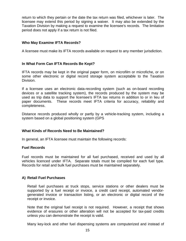return to which they pertain or the date the tax return was filed, whichever is later. The licensee may extend this period by signing a waiver. It may also be extended by the Taxation Division by making a request to examine the licensee's records. The limitation period does not apply if a tax return is not filed.

## <span id="page-15-0"></span>**Who May Examine IFTA Records?**

A licensee must make its IFTA records available on request to any member jurisdiction.

## <span id="page-15-1"></span>**In What Form Can IFTA Records Be Kept?**

IFTA records may be kept in the original paper form, on microfilm or microfiche, or on some other electronic or digital record storage system acceptable to the Taxation Division.

If a licensee uses an electronic data-recording system (such as on-board recording devices or a satellite tracking system), the records produced by the system may be used as trip data to support the licensee's IFTA tax returns in addition to or in lieu of paper documents. These records meet IFTA criteria for accuracy, reliability and completeness.

Distance records produced wholly or partly by a vehicle-tracking system, including a system based on a global positioning system (GPS

## <span id="page-15-2"></span>**What Kinds of Records Need to Be Maintained?**

In general, an IFTA licensee must maintain the following records:

## <span id="page-15-3"></span>**Fuel Records**

Fuel records must be maintained for all fuel purchased, received and used by all vehicles licenced under IFTA. Separate totals must be compiled for each fuel type. Records for retail and bulk fuel purchases must be maintained separately.

# **A) Retail Fuel Purchases**

Retail fuel purchases at truck stops, service stations or other dealers must be supported by a fuel receipt or invoice, a credit card receipt, automated vendorgenerated invoice or transaction listing, or an electronic or digital record of the receipt or invoice.

Note that the original fuel receipt is not required. However, a receipt that shows evidence of erasures or other alteration will not be accepted for tax-paid credits unless you can demonstrate the receipt is valid.

Many key-lock and other fuel dispensing systems are computerized and instead of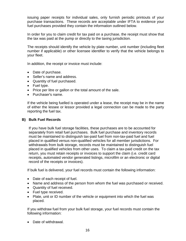issuing paper receipts for individual sales, only furnish periodic printouts of your purchase transactions. These records are acceptable under IFTA to evidence your fuel purchases provided they contain the information outlined below.

In order for you to claim credit for tax paid on a purchase, the receipt must show that the tax was paid at the pump or directly to the taxing jurisdiction.

The receipts should identify the vehicle by plate number, unit number (including fleet number if applicable) or other licensee identifier to verify that the vehicle belongs to your fleet.

In addition, the receipt or invoice must include:

- Date of purchase.
- Seller's name and address.
- Quantity of fuel purchased.
- Fuel type.
- Price per litre or gallon or the total amount of the sale.
- Purchaser's name.

If the vehicle being fuelled is operated under a lease, the receipt may be in the name of either the lessee or lessor provided a legal connection can be made to the party reporting the fuel tax.

# **B) Bulk Fuel Records**

If you have bulk fuel storage facilities, these purchases are to be accounted for separately from retail fuel purchases. Bulk fuel purchase and inventory records must be maintained to distinguish tax-paid fuel from non-tax-paid fuel and fuel placed in qualified versus non-qualified vehicles for all member jurisdictions. For withdrawals from bulk storage, records must be maintained to distinguish fuel placed in qualified vehicles from other uses. To claim a tax-paid credit on the tax return, you must retain receipts or invoices to support the claim (i.e. credit card receipts, automated vendor generated listings, microfilm or an electronic or digital record of the receipts or invoices).

If bulk fuel is delivered, your fuel records must contain the following information:

- Date of each receipt of fuel.
- Name and address of the person from whom the fuel was purchased or received.
- Quantity of fuel received.
- Fuel type received.
- Plate, unit or ID number of the vehicle or equipment into which the fuel was placed.

If you withdraw fuel from your bulk fuel storage, your fuel records must contain the following information:

• Date of withdrawal.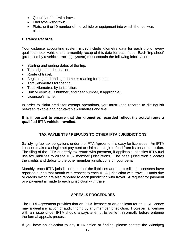- Quantity of fuel withdrawn.
- Fuel type withdrawn.
- Plate, unit or ID number of the vehicle or equipment into which the fuel was placed.

## <span id="page-17-0"></span>**Distance Records**

Your distance accounting system **must** include kilometre data for each trip of every qualified motor vehicle and a monthly recap of this data for each fleet. Each 'trip sheet' (produced by a vehicle-tracking system) must contain the following information:

- Starting and ending dates of the trip.
- Trip origin and destination.
- Route of travel.
- Beginning and ending odometer reading for the trip.
- Total kilometres for the trip.
- Total kilometres by jurisdiction.
- Unit or vehicle ID number (and fleet number, if applicable).
- Licensee's name.

In order to claim credit for exempt operations, you must keep records to distinguish between taxable and non-taxable kilometres and fuel.

#### **It is important to ensure that the kilometres recorded reflect the actual route a qualified IFTA vehicle travelled.**

# **TAX PAYMENTS / REFUNDS TO OTHER IFTA JURISDICTIONS**

<span id="page-17-1"></span>Satisfying fuel tax obligations under the IFTA Agreement is easy for licensees. An IFTA licensee makes a single net payment or claims a single refund from its base jurisdiction. The filing of the IFTA quarterly tax return with payment, if applicable, satisfies IFTA fuel use tax liabilities to all the IFTA member jurisdictions. The base jurisdiction allocates the credits and debits to the other member jurisdictions on your behalf.

Monthly, each IFTA jurisdiction nets out the liabilities and the credits its licensees have reported during that month with respect to each IFTA jurisdiction with travel. Funds due or credits owing are also reported to each jurisdiction with travel. A request for payment or a payment is made to each jurisdiction with travel.

# **APPEALS PROCEDURES**

<span id="page-17-2"></span>The IFTA Agreement provides that an IFTA licensee or an applicant for an IFTA licence may appeal any action or audit finding by any member jurisdiction. However, a licensee with an issue under IFTA should always attempt to settle it informally before entering the formal appeals process.

If you have an objection to any IFTA action or finding, please contact the Winnipeg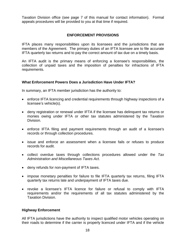Taxation Division office (see page 7 of this manual for contact information). Formal appeals procedures will be provided to you at that time if required.

## **ENFORCEMENT PROVISIONS**

<span id="page-18-0"></span>IFTA places many responsibilities upon its licensees and the jurisdictions that are members of the Agreement. The primary duties of an IFTA licensee are to file accurate IFTA quarterly tax returns and to pay the correct amount of tax due on a timely basis.

An IFTA audit is the primary means of enforcing a licensee's responsibilities, the collection of unpaid taxes and the imposition of penalties for infractions of IFTA requirements.

## <span id="page-18-1"></span>**What Enforcement Powers Does a Jurisdiction Have Under IFTA?**

In summary, an IFTA member jurisdiction has the authority to:

- enforce IFTA licencing and credential requirements through highway inspections of a licensee's vehicle(s).
- deny registration or renewal under IFTA if the licensee has delinquent tax returns or monies owing under IFTA or other tax statutes administered by the Taxation Division.
- enforce IFTA filing and payment requirements through an audit of a licensee's records or through collection procedures.
- issue and enforce an assessment when a licensee fails or refuses to produce records for audit.
- collect overdue taxes through collections procedures allowed under the *Tax Administration and Miscellaneous Taxes Act*.
- deny refunds for non-payment of IFTA taxes.
- impose monetary penalties for failure to file IFTA quarterly tax returns, filing IFTA quarterly tax returns late and underpayment of IFTA taxes due.
- revoke a licensee's IFTA licence for failure or refusal to comply with IFTA requirements and/or the requirements of all tax statutes administered by the Taxation Division.

## <span id="page-18-2"></span>**Highway Enforcement**

All IFTA jurisdictions have the authority to inspect qualified motor vehicles operating on their roads to determine if the carrier is properly licenced under IFTA and if the vehicle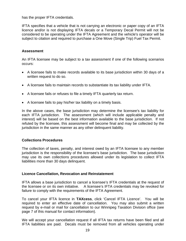has the proper IFTA credentials.

IFTA specifies that a vehicle that is not carrying an electronic or paper copy of an IFTA licence and/or is not displaying IFTA decals or a Temporary Decal Permit will not be considered to be operating under the IFTA Agreement and the vehicle's operator will be subject to citation and required to purchase a One Move (Single Trip) Fuel Tax Permit.

## <span id="page-19-0"></span>**Assessment**

An IFTA licensee may be subject to a tax assessment if one of the following scenarios occurs:

- A licensee fails to make records available to its base jurisdiction within 30 days of a written request to do so.
- A licensee fails to maintain records to substantiate its tax liability under IFTA.
- A licensee fails or refuses to file a timely IFTA quarterly tax return.
- A licensee fails to pay his/her tax liability on a timely basis.

In the above cases, the base jurisdiction may determine the licensee's tax liability for each IFTA jurisdiction. The assessment (which will include applicable penalty and interest) will be based on the best information available to the base jurisdiction. If not refuted by the licensee, this assessment will become final and may be collected by the jurisdiction in the same manner as any other delinquent liability.

## <span id="page-19-1"></span>**Collections Procedures**

The collection of taxes, penalty, and interest owed by an IFTA licensee to any member jurisdiction is the responsibility of the licensee's base jurisdiction. The base jurisdiction may use its own collections procedures allowed under its legislation to collect IFTA liabilities more than 30 days delinquent.

#### <span id="page-19-2"></span>**Licence Cancellation, Revocation and Reinstatement**

IFTA allows a base jurisdiction to cancel a licensee's IFTA credentials at the request of the licensee or on its own initiative. A licensee's IFTA credentials may be revoked for failure to comply with the requirements of the IFTA Agreement.

To cancel your IFTA licence in **TAXcess**, click 'Cancel IFTA Licence'. You will be required to enter an effective date of cancellation. You may also submit a written request by e-mail or mail for cancellation to our Winnipeg Taxation Division office (see page 7 of this manual for contact information).

We will accept your cancellation request if all IFTA tax returns have been filed and all IFTA liabilities are paid. Decals must be removed from all vehicles operating under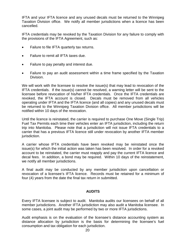IFTA and your IFTA licence and any unused decals must be returned to the Winnipeg Taxation Division office. We notify all member jurisdictions when a licence has been cancelled.

IFTA credentials may be revoked by the Taxation Division for any failure to comply with the provisions of the IFTA Agreement, such as:

- Failure to file IFTA quarterly tax returns.
- Failure to remit all IFTA taxes due.
- Failure to pay penalty and interest due.
- Failure to pay an audit assessment within a time frame specified by the Taxation Division.

We will work with the licensee to resolve the issue(s) that may lead to revocation of the IFTA credentials. If the issue(s) cannot be resolved, a warning letter will be sent to the licensee before revocation of his/her IFTA credentials. Once the IFTA credentials are revoked, the IFTA account is closed. Decals must be removed from all vehicles operating under IFTA and the IFTA licence (and all copies) and any unused decals must be returned to the Winnipeg Taxation Division office. All member jurisdictions will be notified within 10 days of the revocation.

Until the licence is reinstated, the carrier is required to purchase One Move (Single Trip) Fuel Tax Permits each time their vehicles enter an IFTA jurisdiction, including the return trip into Manitoba. Please note that a jurisdiction will not issue IFTA credentials to a carrier that has a previous IFTA licence still under revocation by another IFTA member jurisdiction.

A carrier whose IFTA credentials have been revoked may be reinstated once the issue(s) for which the initial action was taken has been resolved. In order for a revoked account to be reinstated, the carrier must reapply and pay the current IFTA licence and decal fees. In addition, a bond may be required. Within 10 days of the reinstatement, we notify all member jurisdictions.

A final audit may be conducted by any member jurisdiction upon cancellation or revocation of a licensee's IFTA licence. Records must be retained for a minimum of four (4) years from the date the final tax return in submitted.

# **AUDITS**

<span id="page-20-0"></span>Every IFTA licensee is subject to audit. Manitoba audits our licensees on behalf of all member jurisdictions. Another IFTA jurisdiction may also audit a Manitoba licensee. In some cases, a joint audit may be performed by two or more IFTA jurisdictions.

Audit emphasis is on the evaluation of the licensee's distance accounting system as distance allocation by jurisdiction is the basis for determining the licensee's fuel consumption and tax obligation for each jurisdiction.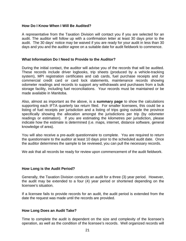## <span id="page-21-0"></span>**How Do I Know When I Will Be Audited?**

A representative from the Taxation Division will contact you if you are selected for an audit. The auditor will follow up with a confirmation letter at least 30 days prior to the audit. The 30 days' notice may be waived if you are ready for your audit in less than 30 days and you and the auditor agree on a suitable date for audit fieldwork to commence.

#### <span id="page-21-1"></span>**What Information Do I Need to Provide to the Auditor?**

During the initial contact, the auditor will advise you of the records that will be audited. These records include driver logbooks, trip sheets (produced by a vehicle-tracking system), MPI registration certificates and cab cards, fuel purchase receipts and /or commercial credit card or card lock statements, maintenance records showing odometer readings and records to support any withdrawals and purchases from a bulk storage facility, including fuel reconciliations. Your records must be maintained or be made available in Manitoba.

Also, almost as important as the above, is a **summary page** to show the calculations supporting each IFTA quarterly tax return filed. For smaller licensees, this could be a listing of fuel receipts per jurisdiction and a listing of trips going outside the province specifically showing the allocation amongst the jurisdictions per trip (by odometer readings or estimation). If you are estimating the kilometres per jurisdiction, please indicate how the estimate is determined (i.e. maps, internet, distance software, general knowledge of area).

You will also receive a pre-audit questionnaire to complete. You are required to return the questionnaire to the auditor at least 10 days prior to the scheduled audit date. Once the auditor determines the sample to be reviewed, you can pull the necessary records.

We ask that all records be ready for review upon commencement of the audit fieldwork.

## <span id="page-21-2"></span>**How Long is the Audit Period?**

Generally, the Taxation Division conducts an audit for a three (3) year period. However, the audit may be extended to a four (4) year period or shortened depending on the licensee's situation.

If a licensee fails to provide records for an audit, the audit period is extended from the date the request was made until the records are provided.

#### <span id="page-21-3"></span>**How Long Does an Audit Take?**

Time to complete the audit is dependent on the size and complexity of the licensee's operation, as well as the condition of the licensee's records. Well organized records will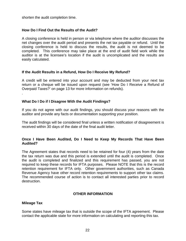shorten the audit completion time.

## <span id="page-22-0"></span>**How Do I Find Out the Results of the Audit?**

A closing conference is held in person or via telephone where the auditor discusses the net changes over the audit period and presents the net tax payable or refund. Until the closing conference is held to discuss the results, the audit is not deemed to be completed. This conference may take place at the end of audit field work while the auditor is at the licensee's location if the audit is uncomplicated and the results are easily calculated.

## <span id="page-22-1"></span>**If the Audit Results in a Refund, How Do I Receive My Refund?**

A credit will be entered into your account and may be deducted from your next tax return or a cheque will be issued upon request (see 'How Do I Receive a Refund of Overpaid Taxes?' on page 13 for more information on refunds).

## <span id="page-22-2"></span>**What Do I Do if I Disagree With the Audit Findings?**

If you do not agree with our audit findings, you should discuss your reasons with the auditor and provide any facts or documentation supporting your position.

The audit findings will be considered final unless a written notification of disagreement is received within 30 days of the date of the final audit letter.

## <span id="page-22-3"></span>**Once I Have Been Audited, Do I Need to Keep My Records That Have Been Audited?**

The Agreement states that records need to be retained for four (4) years from the date the tax return was due and this period is extended until the audit is completed. Once the audit is completed and finalized and this requirement has passed, you are not required to keep these records for IFTA purposes. Please NOTE that this is the record retention requirement for IFTA only. Other government authorities, such as Canada Revenue Agency have other record retention requirements to support other tax claims. The recommended course of action is to contact all interested parties prior to record destruction.

## **OTHER INFORMATION**

#### <span id="page-22-5"></span><span id="page-22-4"></span>**Mileage Tax**

.

Some states have mileage tax that is outside the scope of the IFTA agreement. Please contact the applicable state for more information on calculating and reporting this tax.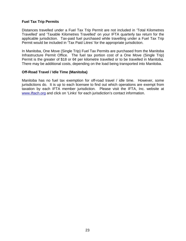## <span id="page-23-0"></span>**Fuel Tax Trip Permits**

Distances travelled under a Fuel Tax Trip Permit are not included in 'Total Kilometres Travelled' and 'Taxable Kilometres Travelled' on your IFTA quarterly tax return for the applicable jurisdiction. Tax-paid fuel purchased while travelling under a Fuel Tax Trip Permit would be included in 'Tax Paid Litres' for the appropriate jurisdiction.

In Manitoba, One Move (Single Trip) Fuel Tax Permits are purchased from the Manitoba Infrastructure Permit Office. The fuel tax portion cost of a One Move (Single Trip) Permit is the greater of \$18 or 6¢ per kilometre travelled or to be travelled in Manitoba. There may be additional costs, depending on the load being transported into Manitoba.

## <span id="page-23-1"></span>**Off-Road Travel / Idle Time (Manitoba)**

Manitoba has no fuel tax exemption for off-road travel / idle time. However, some jurisdictions do. It is up to each licensee to find out which operations are exempt from taxation by each IFTA member jurisdiction. Please visit the IFTA, Inc. website at [www.iftach.org](http://www.iftach.org/) and click on 'Links' for each jurisdiction's contact information.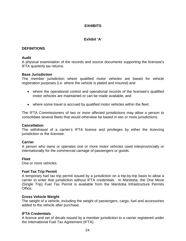# **EXHIBITS**

# **Exhibit 'A'**

# <span id="page-24-2"></span><span id="page-24-1"></span><span id="page-24-0"></span>**DEFINITIONS**

## **Audit**

A physical examination of the records and source documents supporting the licensee's IFTA quarterly tax returns.

## **Base Jurisdiction**

The member jurisdiction where qualified motor vehicles are based for vehicle registration purposes (i.e. where the vehicle is plated and insured) and

- where the operational control and operational records of the licensee's qualified motor vehicles are maintained or can be made available, and
- where some travel is accrued by qualified motor vehicles within the fleet.

The IFTA Commissioners of two or more affected jurisdictions may allow a person to consolidate several fleets that would otherwise be based in two or more jurisdictions.

## **Cancellation**

The withdrawal of a carrier's IFTA licence and privileges by either the licencing jurisdiction or the licensee.

## **Carrier**

A person who owns or operates one or more motor vehicles used interprovincially or internationally for the commercial carriage of passengers or goods.

## **Fleet**

One or more vehicles.

## **Fuel Tax Trip Permit**

A temporary fuel tax trip permit issued by a jurisdiction on a trip-by-trip basis to allow a carrier to enter that jurisdiction without IFTA credentials. In Manitoba, the One Move (Single Trip) Fuel Tax Permit is available from the Manitoba Infrastructure Permits Office.

## **Gross Vehicle Weight**

The weight of a vehicle, including the weight of passengers, cargo, fuel and accessories added to the vehicle after purchase.

# **IFTA Credentials**

A licence and set of decals issued by a member jurisdiction to a carrier registered under the International Fuel Tax Agreement (IFTA).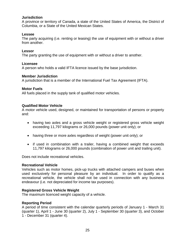## **Jurisdiction**

A province or territory of Canada, a state of the United States of America, the District of Columbia, or a State of the United Mexican States.

#### **Lessee**

The party acquiring (i.e. renting or leasing) the use of equipment with or without a driver from another.

#### **Lessor**

The party granting the use of equipment with or without a driver to another.

#### **Licensee**

A person who holds a valid IFTA licence issued by the base jurisdiction.

#### **Member Jurisdiction**

A jurisdiction that is a member of the International Fuel Tax Agreement (IFTA).

#### **Motor Fuels**

All fuels placed in the supply tank of qualified motor vehicles.

#### **Qualified Motor Vehicle**

A motor vehicle used, designed, or maintained for transportation of persons or property and:

- having two axles and a gross vehicle weight or registered gross vehicle weight exceeding 11,797 kilograms or 26,000 pounds (power unit only); or
- having three or more axles regardless of weight (power unit only); or
- if used in combination with a trailer, having a combined weight that exceeds 11,797 kilograms or 26,000 pounds (combination of power unit and trailing unit).

Does not include recreational vehicles.

#### **Recreational Vehicle**

Vehicles such as motor homes, pick-up trucks with attached campers and buses when used exclusively for personal pleasure by an individual. In order to qualify as a recreational vehicle, the vehicle shall not be used in connection with any business endeavour (i.e. not depreciated for income tax purposes).

#### **Registered Gross Vehicle Weight**

The maximum licenced weight capacity of a vehicle.

#### **Reporting Period**

A period of time consistent with the calendar quarterly periods of January 1 - March 31 (quarter 1), April 1 - June 30 (quarter 2), July 1 - September 30 (quarter 3), and October 1 - December 31 (quarter 4).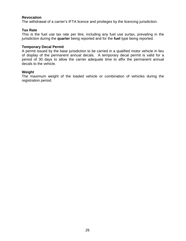## **Revocation**

The withdrawal of a carrier's IFTA licence and privileges by the licencing jurisdiction.

## **Tax Rate**

This is the fuel use tax rate per litre, including any fuel use surtax, prevailing in the jurisdiction during the **quarter** being reported and for the **fuel** type being reported.

#### **Temporary Decal Permit**

A permit issued by the base jurisdiction to be carried in a qualified motor vehicle in lieu of display of the permanent annual decals. A temporary decal permit is valid for a period of 30 days to allow the carrier adequate time to affix the permanent annual decals to the vehicle.

#### **Weight**

The maximum weight of the loaded vehicle or combination of vehicles during the registration period.